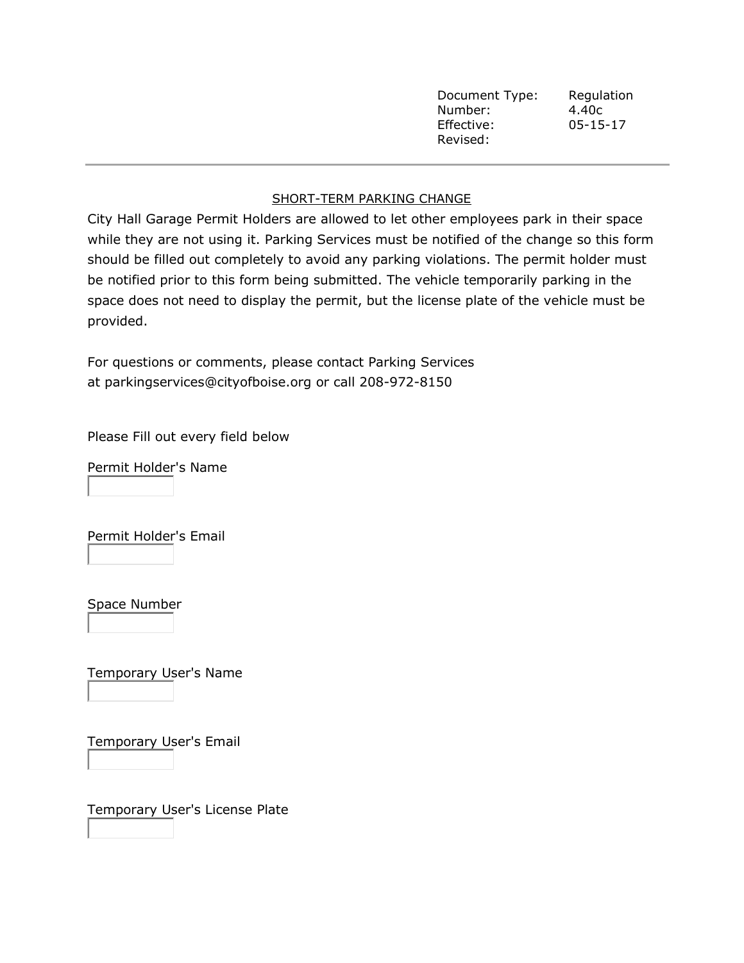| Document Type: | Regulation     |
|----------------|----------------|
| Number:        | 4.40c          |
| Effective:     | $05 - 15 - 17$ |
| Revised:       |                |

## SHORT-TERM PARKING CHANGE

City Hall Garage Permit Holders are allowed to let other employees park in their space while they are not using it. Parking Services must be notified of the change so this form should be filled out completely to avoid any parking violations. The permit holder must be notified prior to this form being submitted. The vehicle temporarily parking in the space does not need to display the permit, but the license plate of the vehicle must be provided.

For questions or comments, please contact Parking Services at [parkingservices@cityofboise.org](mailto:parkingservices@cityofboise.org) or call 208-972-8150

Please Fill out every field below

Permit Holder's Name

Permit Holder's Email

Space Number

Temporary User's Name

Temporary User's Email

Temporary User's License Plate